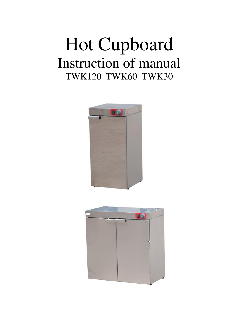# Hot Cupboard Instruction of manual TWK120 TWK60 TWK30



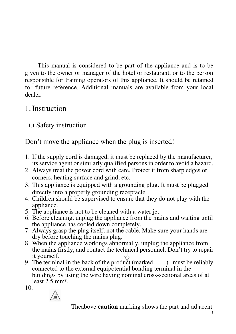This manual is considered to be part of the appliance and is to be given to the owner or manager of the hotel or restaurant, or to the person responsible for training operators of this appliance. It should be retained for future reference. Additional manuals are available from your local dealer.

#### 1.Instruction

# 1.1 Safety instruction

Don't move the appliance when the plug is inserted!

- 1. If the supply cord is damaged, it must be replaced by the manufacturer, its service agent or similarly qualified persons in order to avoid a hazard.
- 2. Always treat the power cord with care. Protect it from sharp edges or corners, heating surface and grind, etc.
- 3. This appliance is equipped with a grounding plug. It must be plugged directly into a properly grounding receptacle.
- 4. Children should be supervised to ensure that they do not play with the appliance.
- 5. The appliance is not to be cleaned with a water jet.
- 6. Before cleaning, unplug the appliance from the mains and waiting until the appliance has cooled down completely.
- 7. Always grasp the plug itself, not the cable. Make sure your hands are dry before touching the mains plug.
- 8. When the appliance workings abnormally, unplug the appliance from the mains firstly, and contact the technical personnel. Don't try to repair it yourself.
- 9. The terminal in the back of the product (marked ) must be reliably connected to the external equipotential bonding terminal in the buildings by using the wire having nominal cross-sectional areas of at least 2.5 mm².

10.



Theabove **caution** marking shows the part and adjacent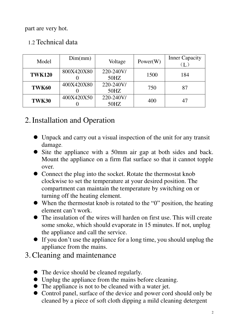part are very hot.

| Model         | Dim(mm)    | Voltage              | Power(W) | <b>Inner Capacity</b> |
|---------------|------------|----------------------|----------|-----------------------|
| <b>TWK120</b> | 800X420X80 | 220-240V/<br>50HZ    | 1500     | 184                   |
| TWK60         | 400X420X80 | 220-240V/<br>$50$ HZ | 750      | 87                    |
| TWK30         | 400X420X50 | 220-240V/<br>50HZ    | 400      | 47                    |

#### 1.2 Technical data

# 2.Installation and Operation

- Unpack and carry out a visual inspection of the unit for any transit damage.
- Site the appliance with a 50mm air gap at both sides and back. Mount the appliance on a firm flat surface so that it cannot topple over.
- Connect the plug into the socket. Rotate the thermostat knob clockwise to set the temperature at your desired position. The compartment can maintain the temperature by switching on or turning off the heating element.
- When the thermostat knob is rotated to the "0" position, the heating element can't work.
- The insulation of the wires will harden on first use. This will create some smoke, which should evaporate in 15 minutes. If not, unplug the appliance and call the service.
- If you don't use the appliance for a long time, you should unplug the appliance from the mains.
- 3.Cleaning and maintenance
	- The device should be cleaned regularly.
	- Unplug the appliance from the mains before cleaning.
	- The appliance is not to be cleaned with a water jet.
	- Control panel, surface of the device and power cord should only be cleaned by a piece of soft cloth dipping a mild cleaning detergent